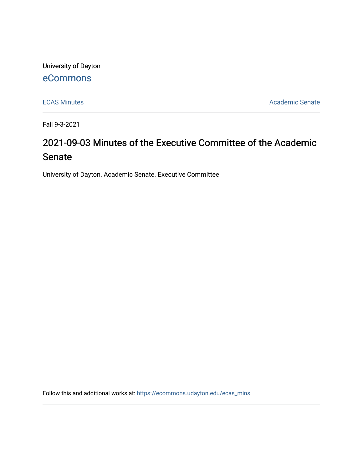University of Dayton

## [eCommons](https://ecommons.udayton.edu/)

[ECAS Minutes](https://ecommons.udayton.edu/ecas_mins) **Academic Senate** 

Fall 9-3-2021

# 2021-09-03 Minutes of the Executive Committee of the Academic Senate

University of Dayton. Academic Senate. Executive Committee

Follow this and additional works at: [https://ecommons.udayton.edu/ecas\\_mins](https://ecommons.udayton.edu/ecas_mins?utm_source=ecommons.udayton.edu%2Fecas_mins%2F540&utm_medium=PDF&utm_campaign=PDFCoverPages)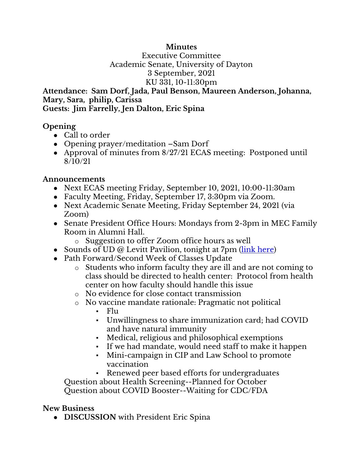#### **Minutes**

Executive Committee Academic Senate, University of Dayton 3 September, 2021 KU 331, 10-11:30pm

**Attendance: Sam Dorf, Jada, Paul Benson, Maureen Anderson, Johanna, Mary, Sara, philip, Carissa Guests: Jim Farrelly, Jen Dalton, Eric Spina**

#### **Opening**

- Call to order
- Opening prayer/meditation –Sam Dorf
- Approval of minutes from 8/27/21 ECAS meeting: Postponed until 8/10/21

#### **Announcements**

- Next ECAS meeting Friday, September 10, 2021, 10:00-11:30am
- Faculty Meeting, Friday, September 17, 3:30pm via Zoom.
- Next Academic Senate Meeting, Friday September 24, 2021 (via Zoom)
- Senate President Office Hours: Mondays from 2-3pm in MEC Family Room in Alumni Hall.
	- o Suggestion to offer Zoom office hours as well
- Sounds of UD @ Levitt Pavilion, tonight at 7pm [\(link here\)](https://levittdayton.org/artist/sounds-of-ud/)
- Path Forward/Second Week of Classes Update
	- o Students who inform faculty they are ill and are not coming to class should be directed to health center: Protocol from health center on how faculty should handle this issue
	- o No evidence for close contact transmission
	- o No vaccine mandate rationale: Pragmatic not political
		- $\blacksquare$  Flu
		- Unwillingness to share immunization card; had COVID and have natural immunity
		- Medical, religious and philosophical exemptions
		- If we had mandate, would need staff to make it happen
		- Mini-campaign in CIP and Law School to promote vaccination

▪ Renewed peer based efforts for undergraduates Question about Health Screening--Planned for October

Question about COVID Booster--Waiting for CDC/FDA

### **New Business**

● **DISCUSSION** with President Eric Spina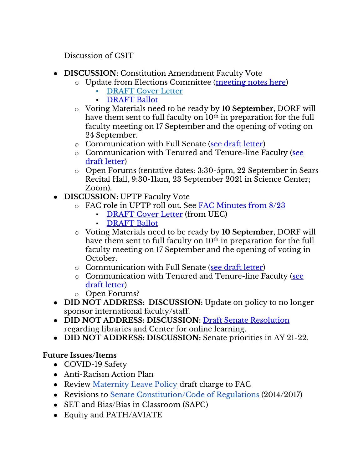Discussion of CSIT

- **DISCUSSION:** Constitution Amendment Faculty Vote
	- o Update from Elections Committee [\(meeting notes here\)](https://docs.google.com/document/d/1QZAivL1qkqTetdaUCwJKg_cnqWAasLjk6KF_jMa-Mj4/edit?usp=sharing)
		- **[DRAFT Cover Letter](https://docs.google.com/document/d/18OlQI4RBdwAkdZ455L2DlIOOt2RZYWWv/edit?usp=sharing&ouid=114374222774523335638&rtpof=true&sd=true)**
		- **[DRAFT Ballot](https://docs.google.com/document/d/1O2_AajK37-JWXGcf-7uGGpYBbBMYirFZ/edit?usp=sharing&ouid=114374222774523335638&rtpof=true&sd=true)**
	- o Voting Materials need to be ready by **10 September**, DORF will have them sent to full faculty on  $10<sup>th</sup>$  in preparation for the full faculty meeting on 17 September and the opening of voting on 24 September.
	- o Communication with Full Senate [\(see draft letter\)](https://docs.google.com/document/d/1JKGM1jBkOMrM8Bwar4i6rxrVdV2BbuWwZhRgSJ6tnpA/edit?usp=sharing)
	- o Communication with Tenured and Tenure-line Faculty [\(see](https://docs.google.com/document/d/1A2XCu_AqjJezijuLfTM5anbjVQzXRc8w5V70dMSAMco/edit?usp=sharing)  [draft letter\)](https://docs.google.com/document/d/1A2XCu_AqjJezijuLfTM5anbjVQzXRc8w5V70dMSAMco/edit?usp=sharing)
	- o Open Forums (tentative dates: 3:30-5pm, 22 September in Sears Recital Hall, 9:30-11am, 23 September 2021 in Science Center; Zoom).
- **DISCUSSION:** UPTP Faculty Vote
	- o FAC role in UPTP roll out. See [FAC Minutes from 8/23](https://docs.google.com/document/d/1_FOfS9JqTIVeK7s8gpYx61pk1XGvIFepssdQ5SKAeOw/edit?usp=sharing)
		- [DRAFT Cover Letter](https://docs.google.com/document/d/1TrlixFtyoxXM1mYA8SuhZpUEfstB-BeN/edit?usp=sharing&ouid=114374222774523335638&rtpof=true&sd=true) (from UEC)
		- **[DRAFT Ballot](https://docs.google.com/document/d/1xuxxxshrpdd2GOPSpDkwkam0sBJ7zPIY/edit?usp=sharing&ouid=114374222774523335638&rtpof=true&sd=true)**
	- o Voting Materials need to be ready by **10 September**, DORF will have them sent to full faculty on  $10<sup>th</sup>$  in preparation for the full faculty meeting on 17 September and the opening of voting in October.
	- o Communication with Full Senate [\(see draft letter\)](https://docs.google.com/document/d/1JKGM1jBkOMrM8Bwar4i6rxrVdV2BbuWwZhRgSJ6tnpA/edit?usp=sharing)
	- o Communication with Tenured and Tenure-line Faculty [\(see](https://docs.google.com/document/d/1A2XCu_AqjJezijuLfTM5anbjVQzXRc8w5V70dMSAMco/edit?usp=sharing)  [draft letter\)](https://docs.google.com/document/d/1A2XCu_AqjJezijuLfTM5anbjVQzXRc8w5V70dMSAMco/edit?usp=sharing)
	- o Open Forums?
- **DID NOT ADDRESS: DISCUSSION:** Update on policy to no longer sponsor international faculty/staff.
- **DID NOT ADDRESS: DISCUSSION:** [Draft Senate](https://docs.google.com/document/d/1xjJPkvF1RwPx6ox_v4-haphE0rYF4g6j/edit?usp=sharing&ouid=114374222774523335638&rtpof=true&sd=true) [Resolution](https://docs.google.com/document/d/1xjJPkvF1RwPx6ox_v4-haphE0rYF4g6j/edit?usp=sharing&ouid=114374222774523335638&rtpof=true&sd=true) regarding libraries and Center for online learning.
- **DID NOT ADDRESS: DISCUSSION:** Senate priorities in AY 21-22.

## **Future Issues/Items**

- COVID-19 Safety
- Anti-Racism Action Plan
- Review [Maternity Leave Policy](https://ecommons.udayton.edu/cgi/viewcontent.cgi?article=1038&context=senate_docs) draft charge to FAC
- Revisions to [Senate Constitution/Code of Regulations](https://drive.google.com/file/d/1FE4HIp5nKgfgFEpzkthtUeF-u_54WgeA/view?usp=sharing) (2014/2017)
- SET and Bias/Bias in Classroom (SAPC)
- Equity and PATH/AVIATE